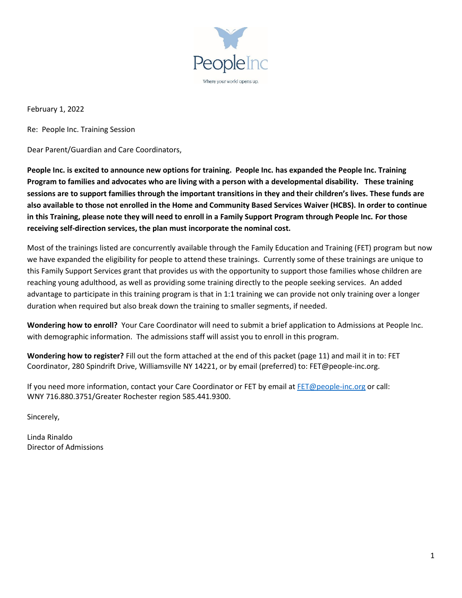

February 1, 2022

Re: People Inc. Training Session

Dear Parent/Guardian and Care Coordinators,

**People Inc. is excited to announce new options for training. People Inc. has expanded the People Inc. Training Program to families and advocates who are living with a person with a developmental disability. These training sessions are to support families through the important transitions in they and their children's lives. These funds are also available to those not enrolled in the Home and Community Based Services Waiver (HCBS). In order to continue in this Training, please note they will need to enroll in a Family Support Program through People Inc. For those receiving self-direction services, the plan must incorporate the nominal cost.**

Most of the trainings listed are concurrently available through the Family Education and Training (FET) program but now we have expanded the eligibility for people to attend these trainings. Currently some of these trainings are unique to this Family Support Services grant that provides us with the opportunity to support those families whose children are reaching young adulthood, as well as providing some training directly to the people seeking services. An added advantage to participate in this training program is that in 1:1 training we can provide not only training over a longer duration when required but also break down the training to smaller segments, if needed.

**Wondering how to enroll?** Your Care Coordinator will need to submit a brief application to Admissions at People Inc. with demographic information. The admissions staff will assist you to enroll in this program.

**Wondering how to register?** Fill out the form attached at the end of this packet (page 11) and mail it in to: FET Coordinator, 280 Spindrift Drive, Williamsville NY 14221, or by email (preferred) to: FET@people-inc.org.

If you need more information, contact your Care Coordinator or FET by email at [FET@people-inc.org](mailto:FET@people-inc.org) or call: WNY 716.880.3751/Greater Rochester region 585.441.9300.

Sincerely,

Linda Rinaldo Director of Admissions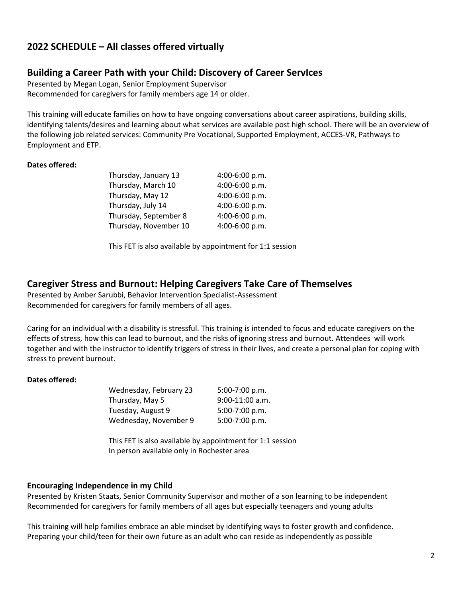## **2022 SCHEDULE – All classes offered virtually**

### **Building a Career Path with your Child: Discovery of Career ServIces**

Presented by Megan Logan, Senior Employment Supervisor Recommended for caregivers for family members age 14 or older.

This training will educate families on how to have ongoing conversations about career aspirations, building skills, identifying talents/desires and learning about what services are available post high school. There will be an overview of the following job related services: Community Pre Vocational, Supported Employment, ACCES-VR, Pathways to Employment and ETP.

#### **Dates offered:**

| Thursday, January 13  | 4:00-6:00 p.m. |
|-----------------------|----------------|
| Thursday, March 10    | 4:00-6:00 p.m. |
| Thursday, May 12      | 4:00-6:00 p.m. |
| Thursday, July 14     | 4:00-6:00 p.m. |
| Thursday, September 8 | 4:00-6:00 p.m. |
| Thursday, November 10 | 4:00-6:00 p.m. |

This FET is also available by appointment for 1:1 session

### **Caregiver Stress and Burnout: Helping Caregivers Take Care of Themselves**

Presented by Amber Sarubbi, Behavior Intervention Specialist-Assessment Recommended for caregivers for family members of all ages.

Caring for an individual with a disability is stressful. This training is intended to focus and educate caregivers on the effects of stress, how this can lead to burnout, and the risks of ignoring stress and burnout. Attendees will work together and with the instructor to identify triggers of stress in their lives, and create a personal plan for coping with stress to prevent burnout.

#### **Dates offered:**

| Wednesday, February 23 | $5:00-7:00 p.m.$  |
|------------------------|-------------------|
| Thursday, May 5        | $9:00-11:00$ a.m. |
| Tuesday, August 9      | 5:00-7:00 p.m.    |
| Wednesday, November 9  | 5:00-7:00 p.m.    |

This FET is also available by appointment for 1:1 session In person available only in Rochester area

### **Encouraging Independence in my Child**

Presented by Kristen Staats, Senior Community Supervisor and mother of a son learning to be independent Recommended for caregivers for family members of all ages but especially teenagers and young adults

This training will help families embrace an able mindset by identifying ways to foster growth and confidence. Preparing your child/teen for their own future as an adult who can reside as independently as possible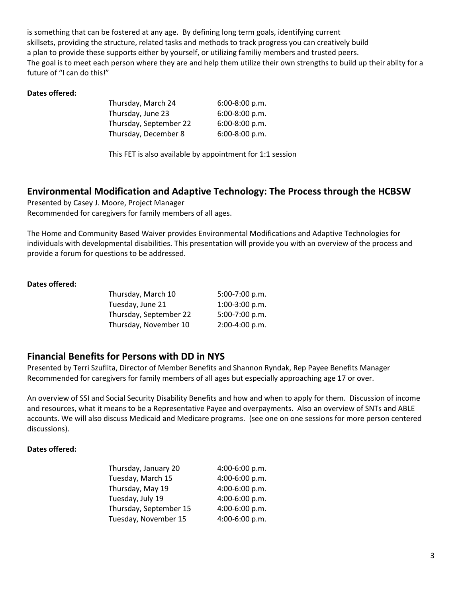is something that can be fostered at any age. By defining long term goals, identifying current skillsets, providing the structure, related tasks and methods to track progress you can creatively build a plan to provide these supports either by yourself, or utilizing familiy members and trusted peers. The goal is to meet each person where they are and help them utilize their own strengths to build up their abilty for a future of "I can do this!"

#### **Dates offered:**

| Thursday, March 24     | 6:00-8:00 p.m. |
|------------------------|----------------|
| Thursday, June 23      | 6:00-8:00 p.m. |
| Thursday, September 22 | 6:00-8:00 p.m. |
| Thursday, December 8   | 6:00-8:00 p.m. |

This FET is also available by appointment for 1:1 session

## **Environmental Modification and Adaptive Technology: The Process through the HCBSW**

Presented by Casey J. Moore, Project Manager Recommended for caregivers for family members of all ages.

The Home and Community Based Waiver provides Environmental Modifications and Adaptive Technologies for individuals with developmental disabilities. This presentation will provide you with an overview of the process and provide a forum for questions to be addressed.

#### **Dates offered:**

| Thursday, March 10     | 5:00-7:00 p.m. |
|------------------------|----------------|
| Tuesday, June 21       | 1:00-3:00 p.m. |
| Thursday, September 22 | 5:00-7:00 p.m. |
| Thursday, November 10  | 2:00-4:00 p.m. |
|                        |                |

### **Financial Benefits for Persons with DD in NYS**

Presented by Terri Szuflita, Director of Member Benefits and Shannon Ryndak, Rep Payee Benefits Manager Recommended for caregivers for family members of all ages but especially approaching age 17 or over.

An overview of SSI and Social Security Disability Benefits and how and when to apply for them. Discussion of income and resources, what it means to be a Representative Payee and overpayments. Also an overview of SNTs and ABLE accounts. We will also discuss Medicaid and Medicare programs. (see one on one sessions for more person centered discussions).

| Thursday, January 20   | 4:00-6:00 p.m. |
|------------------------|----------------|
| Tuesday, March 15      | 4:00-6:00 p.m. |
| Thursday, May 19       | 4:00-6:00 p.m. |
| Tuesday, July 19       | 4:00-6:00 p.m. |
| Thursday, September 15 | 4:00-6:00 p.m. |
| Tuesday, November 15   | 4:00-6:00 p.m. |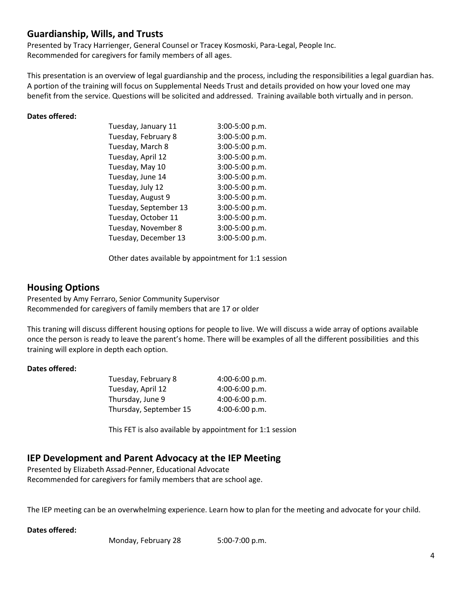## **Guardianship, Wills, and Trusts**

Presented by Tracy Harrienger, General Counsel or Tracey Kosmoski, Para-Legal, People Inc. Recommended for caregivers for family members of all ages.

This presentation is an overview of legal guardianship and the process, including the responsibilities a legal guardian has. A portion of the training will focus on Supplemental Needs Trust and details provided on how your loved one may benefit from the service. Questions will be solicited and addressed. Training available both virtually and in person.

#### **Dates offered:**

| Tuesday, January 11   | 3:00-5:00 p.m. |
|-----------------------|----------------|
| Tuesday, February 8   | 3:00-5:00 p.m. |
| Tuesday, March 8      | 3:00-5:00 p.m. |
| Tuesday, April 12     | 3:00-5:00 p.m. |
| Tuesday, May 10       | 3:00-5:00 p.m. |
| Tuesday, June 14      | 3:00-5:00 p.m. |
| Tuesday, July 12      | 3:00-5:00 p.m. |
| Tuesday, August 9     | 3:00-5:00 p.m. |
| Tuesday, September 13 | 3:00-5:00 p.m. |
| Tuesday, October 11   | 3:00-5:00 p.m. |
| Tuesday, November 8   | 3:00-5:00 p.m. |
| Tuesday, December 13  | 3:00-5:00 p.m. |

Other dates available by appointment for 1:1 session

### **Housing Options**

Presented by Amy Ferraro, Senior Community Supervisor Recommended for caregivers of family members that are 17 or older

This traning will discuss different housing options for people to live. We will discuss a wide array of options available once the person is ready to leave the parent's home. There will be examples of all the different possibilities and this training will explore in depth each option.

#### **Dates offered:**

| Tuesday, February 8    | $4:00-6:00 p.m.$ |
|------------------------|------------------|
| Tuesday, April 12      | 4:00-6:00 p.m.   |
| Thursday, June 9       | 4:00-6:00 p.m.   |
| Thursday, September 15 | 4:00-6:00 p.m.   |

This FET is also available by appointment for 1:1 session

## **IEP Development and Parent Advocacy at the IEP Meeting**

Presented by Elizabeth Assad-Penner, Educational Advocate Recommended for caregivers for family members that are school age.

The IEP meeting can be an overwhelming experience. Learn how to plan for the meeting and advocate for your child.

### **Dates offered:**

Monday, February 28 5:00-7:00 p.m.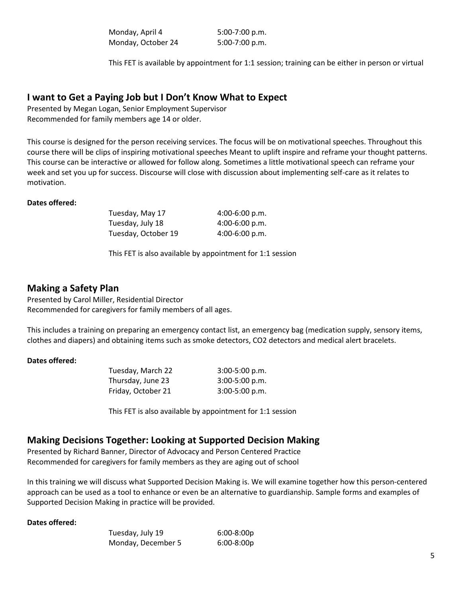| Monday, April 4    | $5:00-7:00 p.m.$ |
|--------------------|------------------|
| Monday, October 24 | $5:00-7:00 p.m.$ |

This FET is available by appointment for 1:1 session; training can be either in person or virtual

#### **I want to Get a Paying Job but I Don't Know What to Expect**

Presented by Megan Logan, Senior Employment Supervisor Recommended for family members age 14 or older.

This course is designed for the person receiving services. The focus will be on motivational speeches. Throughout this course there will be clips of inspiring motivational speeches Meant to uplift inspire and reframe your thought patterns. This course can be interactive or allowed for follow along. Sometimes a little motivational speech can reframe your week and set you up for success. Discourse will close with discussion about implementing self-care as it relates to motivation.

#### **Dates offered:**

Tuesday, May 17 4:00-6:00 p.m. Tuesday, July 18 4:00-6:00 p.m. Tuesday, October 19 4:00-6:00 p.m.

This FET is also available by appointment for 1:1 session

### **Making a Safety Plan**

Presented by Carol Miller, Residential Director Recommended for caregivers for family members of all ages.

This includes a training on preparing an emergency contact list, an emergency bag (medication supply, sensory items, clothes and diapers) and obtaining items such as smoke detectors, CO2 detectors and medical alert bracelets.

#### **Dates offered:**

Tuesday, March 22 3:00-5:00 p.m. Thursday, June 23 3:00-5:00 p.m. Friday, October 21 3:00-5:00 p.m.

This FET is also available by appointment for 1:1 session

## **Making Decisions Together: Looking at Supported Decision Making**

Presented by Richard Banner, Director of Advocacy and Person Centered Practice Recommended for caregivers for family members as they are aging out of school

In this training we will discuss what Supported Decision Making is. We will examine together how this person-centered approach can be used as a tool to enhance or even be an alternative to guardianship. Sample forms and examples of Supported Decision Making in practice will be provided.

| Tuesday, July 19   | $6:00-8:00p$ |
|--------------------|--------------|
| Monday, December 5 | $6:00-8:00p$ |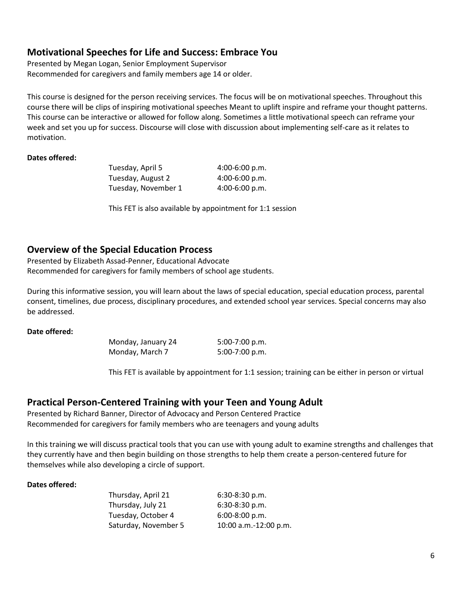### **Motivational Speeches for Life and Success: Embrace You**

Presented by Megan Logan, Senior Employment Supervisor Recommended for caregivers and family members age 14 or older.

This course is designed for the person receiving services. The focus will be on motivational speeches. Throughout this course there will be clips of inspiring motivational speeches Meant to uplift inspire and reframe your thought patterns. This course can be interactive or allowed for follow along. Sometimes a little motivational speech can reframe your week and set you up for success. Discourse will close with discussion about implementing self-care as it relates to motivation.

#### **Dates offered:**

| Tuesday, April 5    | $4:00-6:00 p.m.$ |
|---------------------|------------------|
| Tuesday, August 2   | $4:00-6:00 p.m.$ |
| Tuesday, November 1 | $4:00-6:00 p.m.$ |

This FET is also available by appointment for 1:1 session

## **Overview of the Special Education Process**

Presented by Elizabeth Assad-Penner, Educational Advocate Recommended for caregivers for family members of school age students.

During this informative session, you will learn about the laws of special education, special education process, parental consent, timelines, due process, disciplinary procedures, and extended school year services. Special concerns may also be addressed.

#### **Date offered:**

Monday, January 24 5:00-7:00 p.m. Monday, March 7 5:00-7:00 p.m.

This FET is available by appointment for 1:1 session; training can be either in person or virtual

### **Practical Person-Centered Training with your Teen and Young Adult**

Presented by Richard Banner, Director of Advocacy and Person Centered Practice Recommended for caregivers for family members who are teenagers and young adults

In this training we will discuss practical tools that you can use with young adult to examine strengths and challenges that they currently have and then begin building on those strengths to help them create a person-centered future for themselves while also developing a circle of support.

| Thursday, April 21   | $6:30-8:30$ p.m.      |
|----------------------|-----------------------|
| Thursday, July 21    | $6:30-8:30$ p.m.      |
| Tuesday, October 4   | $6:00-8:00 p.m.$      |
| Saturday, November 5 | 10:00 a.m.-12:00 p.m. |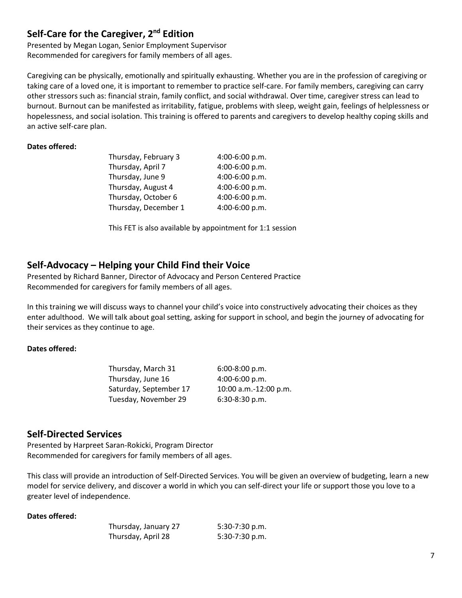## **Self-Care for the Caregiver, 2nd Edition**

Presented by Megan Logan, Senior Employment Supervisor Recommended for caregivers for family members of all ages.

Caregiving can be physically, emotionally and spiritually exhausting. Whether you are in the profession of caregiving or taking care of a loved one, it is important to remember to practice self-care. For family members, caregiving can carry other stressors such as: financial strain, family conflict, and social withdrawal. Over time, caregiver stress can lead to burnout. Burnout can be manifested as irritability, fatigue, problems with sleep, weight gain, feelings of helplessness or hopelessness, and social isolation. This training is offered to parents and caregivers to develop healthy coping skills and an active self-care plan.

#### **Dates offered:**

| Thursday, February 3 | 4:00-6:00 p.m. |
|----------------------|----------------|
| Thursday, April 7    | 4:00-6:00 p.m. |
| Thursday, June 9     | 4:00-6:00 p.m. |
| Thursday, August 4   | 4:00-6:00 p.m. |
| Thursday, October 6  | 4:00-6:00 p.m. |
| Thursday, December 1 | 4:00-6:00 p.m. |

This FET is also available by appointment for 1:1 session

### **Self-Advocacy – Helping your Child Find their Voice**

Presented by Richard Banner, Director of Advocacy and Person Centered Practice Recommended for caregivers for family members of all ages.

In this training we will discuss ways to channel your child's voice into constructively advocating their choices as they enter adulthood. We will talk about goal setting, asking for support in school, and begin the journey of advocating for their services as they continue to age.

#### **Dates offered:**

| $6:00-8:00 p.m.$      |
|-----------------------|
| 4:00-6:00 p.m.        |
| 10:00 a.m.-12:00 p.m. |
| $6:30-8:30$ p.m.      |
|                       |

### **Self-Directed Services**

Presented by Harpreet Saran-Rokicki, Program Director Recommended for caregivers for family members of all ages.

This class will provide an introduction of Self-Directed Services. You will be given an overview of budgeting, learn a new model for service delivery, and discover a world in which you can self-direct your life or support those you love to a greater level of independence.

| Thursday, January 27 | 5:30-7:30 p.m. |
|----------------------|----------------|
| Thursday, April 28   | 5:30-7:30 p.m. |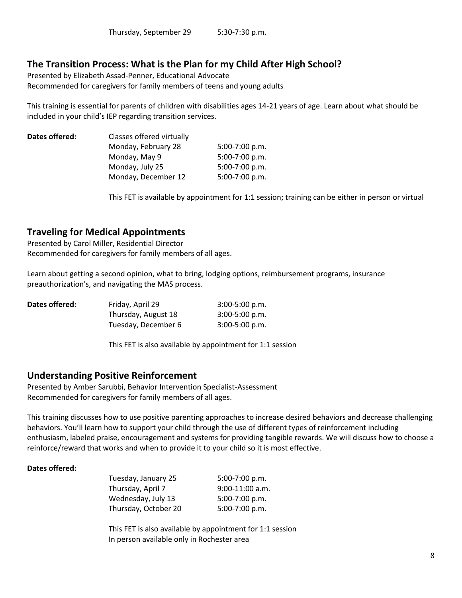## **The Transition Process: What is the Plan for my Child After High School?**

Presented by Elizabeth Assad-Penner, Educational Advocate Recommended for caregivers for family members of teens and young adults

This training is essential for parents of children with disabilities ages 14-21 years of age. Learn about what should be included in your child's IEP regarding transition services.

| Dates offered: | Classes offered virtually |                  |  |
|----------------|---------------------------|------------------|--|
|                | Monday, February 28       | $5:00-7:00 p.m.$ |  |
|                | Monday, May 9             | 5:00-7:00 p.m.   |  |
|                | Monday, July 25           | $5:00-7:00 p.m.$ |  |
|                | Monday, December 12       | 5:00-7:00 p.m.   |  |
|                |                           |                  |  |

This FET is available by appointment for 1:1 session; training can be either in person or virtual

## **Traveling for Medical Appointments**

Presented by Carol Miller, Residential Director Recommended for caregivers for family members of all ages.

Learn about getting a second opinion, what to bring, lodging options, reimbursement programs, insurance preauthorization's, and navigating the MAS process.

| Dates offered: | Friday, April 29    | $3:00-5:00 p.m.$ |
|----------------|---------------------|------------------|
|                | Thursday, August 18 | $3:00-5:00 p.m.$ |
|                | Tuesday, December 6 | $3:00-5:00 p.m.$ |

This FET is also available by appointment for 1:1 session

### **Understanding Positive Reinforcement**

Presented by Amber Sarubbi, Behavior Intervention Specialist-Assessment Recommended for caregivers for family members of all ages.

This training discusses how to use positive parenting approaches to increase desired behaviors and decrease challenging behaviors. You'll learn how to support your child through the use of different types of reinforcement including enthusiasm, labeled praise, encouragement and systems for providing tangible rewards. We will discuss how to choose a reinforce/reward that works and when to provide it to your child so it is most effective.

#### **Dates offered:**

Tuesday, January 25 5:00-7:00 p.m. Thursday, April 7 9:00-11:00 a.m. Wednesday, July 13 5:00-7:00 p.m. Thursday, October 20 5:00-7:00 p.m.

This FET is also available by appointment for 1:1 session In person available only in Rochester area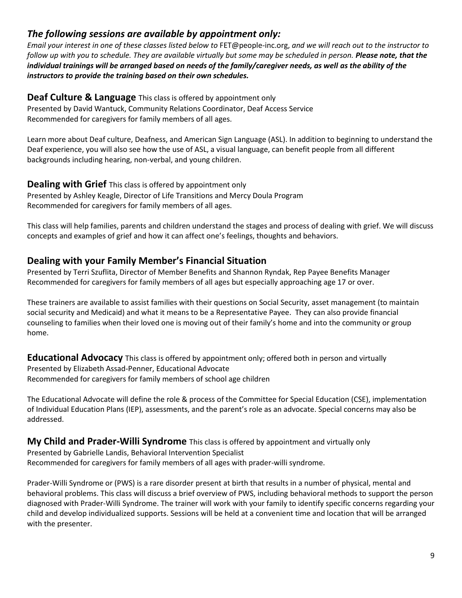## *The following sessions are available by appointment only:*

*Email your interest in one of these classes listed below to* FET@people-inc.org, *and we will reach out to the instructor to follow up with you to schedule. They are available virtually but some may be scheduled in person. Please note, that the individual trainings will be arranged based on needs of the family/caregiver needs, as well as the ability of the instructors to provide the training based on their own schedules.* 

### **Deaf Culture & Language** This class is offered by appointment only

Presented by David Wantuck, Community Relations Coordinator, Deaf Access Service Recommended for caregivers for family members of all ages.

Learn more about Deaf culture, Deafness, and American Sign Language (ASL). In addition to beginning to understand the Deaf experience, you will also see how the use of ASL, a visual language, can benefit people from all different backgrounds including hearing, non-verbal, and young children.

#### **Dealing with Grief** This class is offered by appointment only Presented by Ashley Keagle, Director of Life Transitions and Mercy Doula Program Recommended for caregivers for family members of all ages.

This class will help families, parents and children understand the stages and process of dealing with grief. We will discuss concepts and examples of grief and how it can affect one's feelings, thoughts and behaviors.

## **Dealing with your Family Member's Financial Situation**

Presented by Terri Szuflita, Director of Member Benefits and Shannon Ryndak, Rep Payee Benefits Manager Recommended for caregivers for family members of all ages but especially approaching age 17 or over.

These trainers are available to assist families with their questions on Social Security, asset management (to maintain social security and Medicaid) and what it means to be a Representative Payee. They can also provide financial counseling to families when their loved one is moving out of their family's home and into the community or group home.

**Educational Advocacy** This class is offered by appointment only; offered both in person and virtually Presented by Elizabeth Assad-Penner, Educational Advocate Recommended for caregivers for family members of school age children

The Educational Advocate will define the role & process of the Committee for Special Education (CSE), implementation of Individual Education Plans (IEP), assessments, and the parent's role as an advocate. Special concerns may also be addressed.

## **My Child and Prader-Willi Syndrome** This class is offered by appointment and virtually only

Presented by Gabrielle Landis, Behavioral Intervention Specialist Recommended for caregivers for family members of all ages with prader-willi syndrome.

Prader-Willi Syndrome or (PWS) is a rare disorder present at birth that results in a number of physical, mental and behavioral problems. This class will discuss a brief overview of PWS, including behavioral methods to support the person diagnosed with Prader-Willi Syndrome. The trainer will work with your family to identify specific concerns regarding your child and develop individualized supports. Sessions will be held at a convenient time and location that will be arranged with the presenter.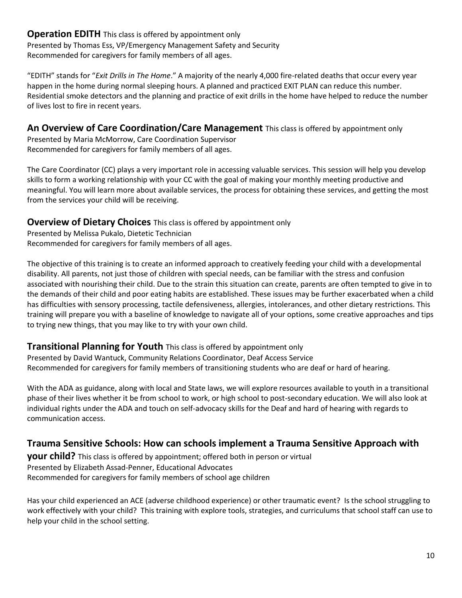### **Operation EDITH** This class is offered by appointment only Presented by Thomas Ess, VP/Emergency Management Safety and Security Recommended for caregivers for family members of all ages.

"EDITH" stands for "*Exit Drills in The Home*." A majority of the nearly 4,000 fire-related deaths that occur every year happen in the home during normal sleeping hours. A planned and practiced EXIT PLAN can reduce this number. Residential smoke detectors and the planning and practice of exit drills in the home have helped to reduce the number of lives lost to fire in recent years.

### **An Overview of Care Coordination/Care Management** This class is offered by appointment only

Presented by Maria McMorrow, Care Coordination Supervisor Recommended for caregivers for family members of all ages.

The Care Coordinator (CC) plays a very important role in accessing valuable services. This session will help you develop skills to form a working relationship with your CC with the goal of making your monthly meeting productive and meaningful. You will learn more about available services, the process for obtaining these services, and getting the most from the services your child will be receiving.

### **Overview of Dietary Choices** This class is offered by appointment only

Presented by Melissa Pukalo, Dietetic Technician Recommended for caregivers for family members of all ages.

The objective of this training is to create an informed approach to creatively feeding your child with a developmental disability. All parents, not just those of children with special needs, can be familiar with the stress and confusion associated with nourishing their child. Due to the strain this situation can create, parents are often tempted to give in to the demands of their child and poor eating habits are established. These issues may be further exacerbated when a child has difficulties with sensory processing, tactile defensiveness, allergies, intolerances, and other dietary restrictions. This training will prepare you with a baseline of knowledge to navigate all of your options, some creative approaches and tips to trying new things, that you may like to try with your own child.

### **Transitional Planning for Youth** This class is offered by appointment only

Presented by David Wantuck, Community Relations Coordinator, Deaf Access Service Recommended for caregivers for family members of transitioning students who are deaf or hard of hearing.

With the ADA as guidance, along with local and State laws, we will explore resources available to youth in a transitional phase of their lives whether it be from school to work, or high school to post-secondary education. We will also look at individual rights under the ADA and touch on self-advocacy skills for the Deaf and hard of hearing with regards to communication access.

## **Trauma Sensitive Schools: How can schools implement a Trauma Sensitive Approach with**

**your child?** This class is offered by appointment; offered both in person or virtual Presented by Elizabeth Assad-Penner, Educational Advocates Recommended for caregivers for family members of school age children

Has your child experienced an ACE (adverse childhood experience) or other traumatic event? Is the school struggling to work effectively with your child? This training with explore tools, strategies, and curriculums that school staff can use to help your child in the school setting.